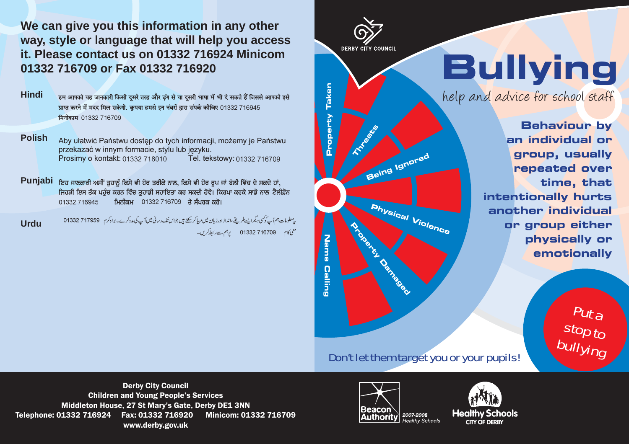**We can give you this information in any other way, style or language that will help you access it. Please contact us on 01332 716924 Minicom 01332 716709 or Fax 01332 716920**

**Hindi**

हम आपको यह जानकारी किसी दसरे तरह और ढंग से या दसरी भाषा में भी दे सकते हैं जिससे आपको इसे प्राप्त करने में मदद मिल सकेगी. कपया हमसे इन नंबरों द्वारा संपर्क कीजिए 01332 716945 मिनीकाम 01332 716709

**Polish**Aby ułatwić Państwu dostęp do tych informacji, możemy je Państwu przekazać w innym formacie, stylu lub języku. Tel. tekstowy: 01332 716709 Prosimy o kontakt: 01332 718010

Punjabi ਇਹ ਜਾਣਕਾਰੀ ਅਸੀਂ ਤੁਹਾਨੂੰ ਕਿਸੇ ਵੀ ਹੋਰ ਤਰੀਕੇ ਨਾਲ, ਕਿਸੇ ਵੀ ਹੋਰ ਰੂਪ ਜਾਂ ਬੋਲੀ ਵਿੱਚ ਦੇ ਸਕਦੇ ਹਾਂ, ਜਿਹੜੀ ਇਸ ਤੱਕ ਪਹੁੰਚ ਕਰਨ ਵਿੱਚ ਤੁਹਾਡੀ ਸਹਾਇਤਾ ਕਰ ਸਕਦੀ ਹੋਵੇ। ਕਿਰਪਾ ਕਰਕੇ ਸਾਡੇ ਨਾਲ ਟੈਲੀਫ਼ੋਨ ਮਿਨੀਕਮ 01332 716709 ਤੇ ਸੰਪਰਕ ਕਰੋ। 01332 716945

ر معلومات ہم آ کے کوکسی دیگرا بسے طریقے ،اندازاورزبان میں مہاکر سکتے ہیں جواس تک رسائی میں آ کے مددکرے۔ براہ کرم ہے 717959 01332 **Urdu**منی کام 716709 01332 رہم سےرالطہ کریں۔

**DERBY CITY COUNCIL** 

**Property Taken** 

**Name Calling**

**Calling** 

Name

**Bullying**

help and advice for school staff

**Behaviour by an individual or group, usually repeated over time, that intentionally hurts another individual or group either physically or emotionally**

> Put a stop to<br><sup>bullying</sup>

Don't let them target you or your pupils!

**Physical Violence** 

Derby City Council Children and Young People's Services Middleton House, 27 St Mary's Gate, Derby DE1 3NN Telephone: 01332 716924 Fax: 01332 716920 Minicom: 01332 716709 www.derby.gov.uk CITY OF DERBY CITY OF DERBY CONSULTERED WARRANTY Healthy Schools CITY OF DERBY